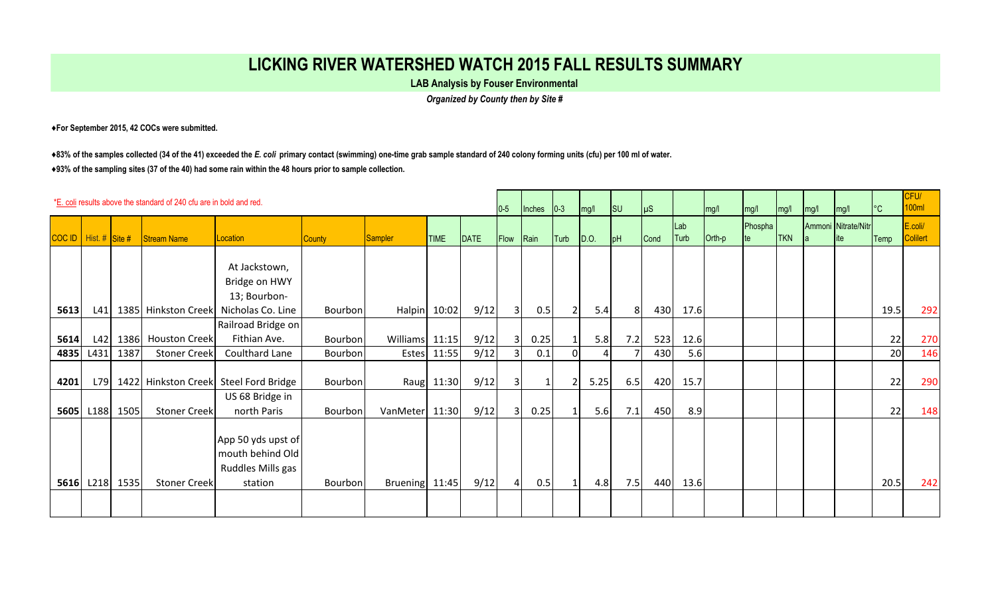## **LICKING RIVER WATERSHED WATCH 2015 FALL RESULTS SUMMARY**

**LAB Analysis by Fouser Environmental** 

*Organized by County then by Site #*

**♦For September 2015, 42 COCs were submitted.** 

**♦83% of the samples collected (34 of the 41) exceeded the** *E. coli* **primary contact (swimming) one-time grab sample standard of 240 colony forming units (cfu) per 100 ml of water. ♦93% of the sampling sites (37 of the 40) had some rain within the 48 hours prior to sample collection.** 

| *E. coli results above the standard of 240 cfu are in bold and red. |           |                |                     |                                                                        |                |                |              |      | $0-5$                   | Inches       | $ 0-3 $        | mg/l         | $\vert$ SU | $\mu$ s |             | mg/l   | mg/l    | mg/l       | mg/l | mg/l                        | $^{\circ}$ C | CFU/<br>100ml              |
|---------------------------------------------------------------------|-----------|----------------|---------------------|------------------------------------------------------------------------|----------------|----------------|--------------|------|-------------------------|--------------|----------------|--------------|------------|---------|-------------|--------|---------|------------|------|-----------------------------|--------------|----------------------------|
| COC ID   Hist. # Site #                                             |           |                | Stream Name         | Location                                                               | <b>County</b>  | Sampler        | <b>TIME</b>  | DATE | Flow                    | Rain         | Turb           | $\vert$ D.O. | pH         | Cond    | Lab<br>Turb | Orth-p | Phospha | <b>TKN</b> |      | Ammoni Nitrate/Nitr<br>lite | Temp         | E.coli/<br><b>Colilert</b> |
|                                                                     |           |                |                     | At Jackstown,<br>Bridge on HWY<br>13; Bourbon-                         |                |                |              |      |                         |              |                |              |            |         |             |        |         |            |      |                             |              |                            |
| 5613                                                                | L41       |                | 1385 Hinkston Creek | Nicholas Co. Line                                                      | Bourbon        |                | Halpin 10:02 | 9/12 | $\overline{3}$          | 0.5          | $\overline{2}$ | 5.4          | 81         | 430     | 17.6        |        |         |            |      |                             | 19.5         | 292                        |
| 5614                                                                | L42       |                | 1386 Houston Creek  | Railroad Bridge on<br>Fithian Ave.                                     | Bourbon        | Williams 11:15 |              | 9/12 | $\overline{\mathbf{3}}$ | 0.25         |                | 5.8          | 7.2        | 523     | 12.6        |        |         |            |      |                             | 22           | 270                        |
| 4835                                                                | L431      | 1387           | <b>Stoner Creek</b> | Coulthard Lane                                                         | Bourbon        |                | Estes 11:55  | 9/12 |                         | 0.1          | 01             |              |            | 430     | 5.6         |        |         |            |      |                             | 20           | 146                        |
| 4201                                                                | L79       |                |                     | 1422 Hinkston Creek Steel Ford Bridge                                  | <b>Bourbon</b> |                | Raug 11:30   | 9/12 | $\overline{3}$          | $\mathbf{1}$ | $\overline{2}$ | 5.25         | 6.5        | 420     | 15.7        |        |         |            |      |                             | 22           | 290                        |
|                                                                     | 5605 L188 | 1505           | <b>Stoner Creek</b> | US 68 Bridge in<br>north Paris                                         | Bourbon        | VanMeter 11:30 |              | 9/12 | 3 <sup>1</sup>          | 0.25         |                | 5.6          | 7.1        | 450     | 8.9         |        |         |            |      |                             | 22           | 148                        |
|                                                                     |           | 5616 L218 1535 | <b>Stoner Creek</b> | App 50 yds upst of<br>mouth behind Old<br>Ruddles Mills gas<br>station | Bourbon        | Bruening 11:45 |              | 9/12 | 41                      | 0.5          |                | 4.8          | 7.5        | 440     | 13.6        |        |         |            |      |                             | 20.5         | 242                        |
|                                                                     |           |                |                     |                                                                        |                |                |              |      |                         |              |                |              |            |         |             |        |         |            |      |                             |              |                            |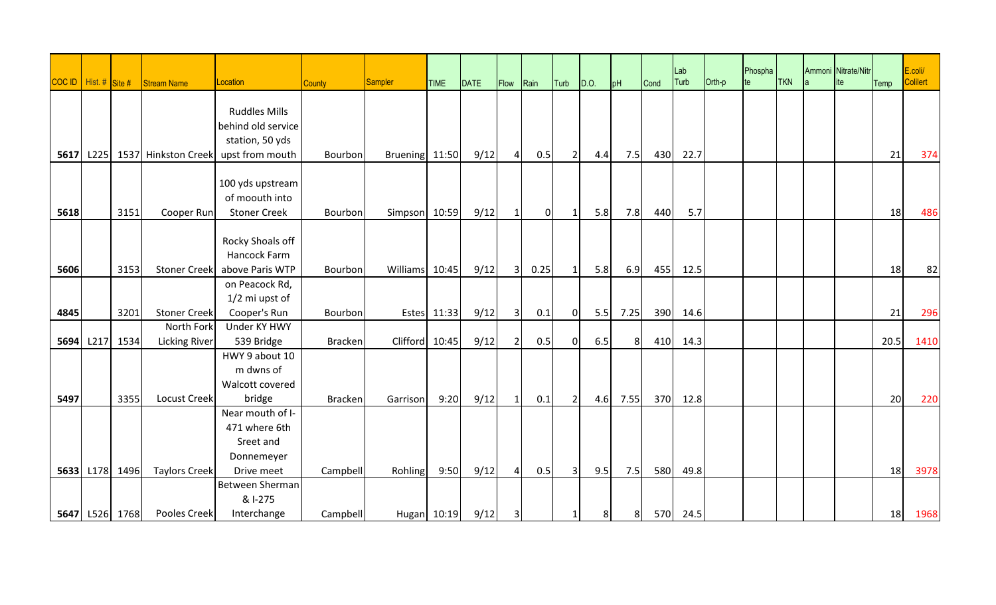|      | COC ID   Hist. # Site # |                | <b>Stream Name</b>       | Location                   | <b>County</b>  | Sampler        | <b>TIME</b> | DATE | Flow           | Rain     | Turb           | D.O. | pH             | Cond | Lab<br>Turb | $O$ rth-p | Phospha<br>Ite | <b>TKN</b> | Ammoni Nitrate/Nitr<br>ite | Temp | E.coli/<br>Colilert |
|------|-------------------------|----------------|--------------------------|----------------------------|----------------|----------------|-------------|------|----------------|----------|----------------|------|----------------|------|-------------|-----------|----------------|------------|----------------------------|------|---------------------|
|      |                         |                |                          |                            |                |                |             |      |                |          |                |      |                |      |             |           |                |            |                            |      |                     |
|      |                         |                |                          | <b>Ruddles Mills</b>       |                |                |             |      |                |          |                |      |                |      |             |           |                |            |                            |      |                     |
|      |                         |                |                          | behind old service         |                |                |             |      |                |          |                |      |                |      |             |           |                |            |                            |      |                     |
| 5617 |                         |                | L225 1537 Hinkston Creek | station, 50 yds            | Bourbon        |                |             | 9/12 | $\overline{a}$ | 0.5      |                |      | 7.5            | 430  | 22.7        |           |                |            |                            | 21   | 374                 |
|      |                         |                |                          | upst from mouth            |                | Bruening 11:50 |             |      |                |          | 2              | 4.4  |                |      |             |           |                |            |                            |      |                     |
|      |                         |                |                          | 100 yds upstream           |                |                |             |      |                |          |                |      |                |      |             |           |                |            |                            |      |                     |
|      |                         |                |                          | of moouth into             |                |                |             |      |                |          |                |      |                |      |             |           |                |            |                            |      |                     |
| 5618 |                         | 3151           | Cooper Run               | <b>Stoner Creek</b>        | Bourbon        | Simpson 10:59  |             | 9/12 | -1             | $\Omega$ | $\mathbf{1}$   | 5.8  | 7.8            | 440  | 5.7         |           |                |            |                            | 18   | 486                 |
|      |                         |                |                          |                            |                |                |             |      |                |          |                |      |                |      |             |           |                |            |                            |      |                     |
|      |                         |                |                          | Rocky Shoals off           |                |                |             |      |                |          |                |      |                |      |             |           |                |            |                            |      |                     |
|      |                         |                |                          | Hancock Farm               |                |                |             |      |                |          |                |      |                |      |             |           |                |            |                            |      |                     |
| 5606 |                         | 3153           | <b>Stoner Creek</b>      | above Paris WTP            | Bourbon        | Williams       | 10:45       | 9/12 | 3 <sup>l</sup> | 0.25     | $\mathbf{1}$   | 5.8  | 6.9            | 455  | 12.5        |           |                |            |                            | 18   | 82                  |
|      |                         |                |                          | on Peacock Rd,             |                |                |             |      |                |          |                |      |                |      |             |           |                |            |                            |      |                     |
|      |                         |                |                          | 1/2 mi upst of             |                |                |             |      |                |          |                |      |                |      |             |           |                |            |                            |      |                     |
| 4845 |                         | 3201           | <b>Stoner Creek</b>      | Cooper's Run               | Bourbon        | <b>Estes</b>   | 11:33       | 9/12 | $\overline{3}$ | 0.1      | $\overline{0}$ | 5.5  | 7.25           | 390  | 14.6        |           |                |            |                            | 21   | 296                 |
|      |                         |                | North Fork               | Under KY HWY               |                |                |             |      |                |          |                |      |                |      |             |           |                |            |                            |      |                     |
| 5694 | L217                    | 1534           | <b>Licking River</b>     | 539 Bridge                 | <b>Bracken</b> | Clifford       | 10:45       | 9/12 | $\overline{2}$ | 0.5      | $\overline{0}$ | 6.5  | 8 <sup>1</sup> | 410  | 14.3        |           |                |            |                            | 20.5 | 1410                |
|      |                         |                |                          | HWY 9 about 10             |                |                |             |      |                |          |                |      |                |      |             |           |                |            |                            |      |                     |
|      |                         |                |                          | m dwns of                  |                |                |             |      |                |          |                |      |                |      |             |           |                |            |                            |      |                     |
|      |                         | 3355           |                          | Walcott covered            |                |                | 9:20        |      |                |          |                |      |                |      |             |           |                |            |                            | 20   |                     |
| 5497 |                         |                | <b>Locust Creek</b>      | bridge<br>Near mouth of I- | <b>Bracken</b> | Garrison       |             | 9/12 | $\mathbf{1}$   | 0.1      | $\overline{2}$ | 4.6  | 7.55           | 370  | 12.8        |           |                |            |                            |      | 220                 |
|      |                         |                |                          | 471 where 6th              |                |                |             |      |                |          |                |      |                |      |             |           |                |            |                            |      |                     |
|      |                         |                |                          | Sreet and                  |                |                |             |      |                |          |                |      |                |      |             |           |                |            |                            |      |                     |
|      |                         |                |                          | Donnemeyer                 |                |                |             |      |                |          |                |      |                |      |             |           |                |            |                            |      |                     |
|      |                         | 5633 L178 1496 | <b>Taylors Creek</b>     | Drive meet                 | Campbell       | Rohling        | 9:50        | 9/12 | $\overline{4}$ | 0.5      | $\overline{3}$ | 9.5  | 7.5            | 580  | 49.8        |           |                |            |                            | 18   | 3978                |
|      |                         |                |                          | Between Sherman            |                |                |             |      |                |          |                |      |                |      |             |           |                |            |                            |      |                     |
|      |                         |                |                          | & I-275                    |                |                |             |      |                |          |                |      |                |      |             |           |                |            |                            |      |                     |
|      |                         | 5647 L526 1768 | Pooles Creek             | Interchange                | Campbell       |                | Hugan 10:19 | 9/12 | 3              |          | 1              | 8    | 8              |      | 570 24.5    |           |                |            |                            | 18   | 1968                |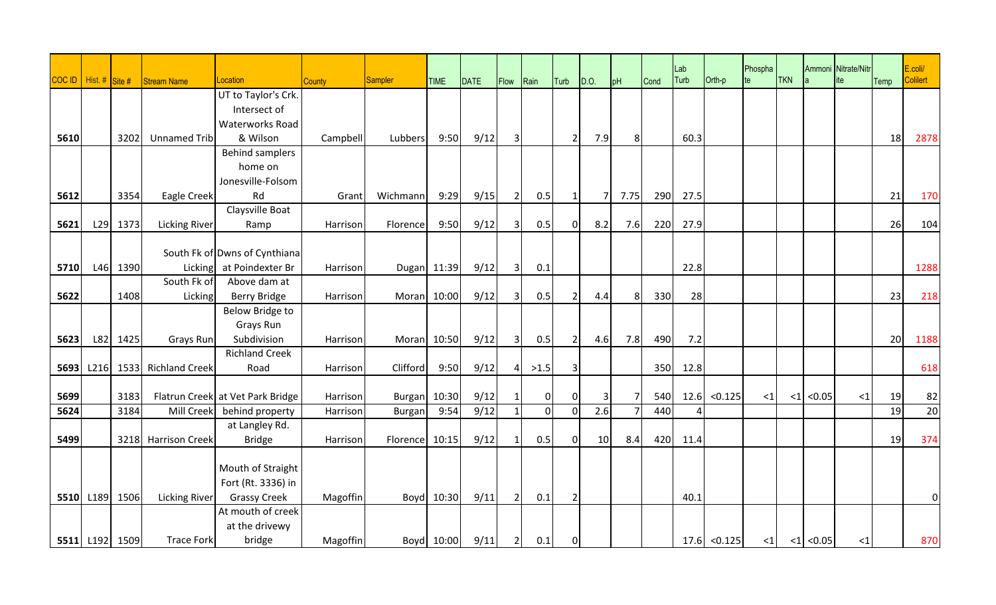|      |                         |          |                      |                                        |               |                |             |      |                         |                        |                |                |                |      | Lab<br>Turb |                | Phospha  | <b>TKN</b> |              | Ammoni Nitrate/Nitr |      | E.coli/<br><b>Colilert</b> |
|------|-------------------------|----------|----------------------|----------------------------------------|---------------|----------------|-------------|------|-------------------------|------------------------|----------------|----------------|----------------|------|-------------|----------------|----------|------------|--------------|---------------------|------|----------------------------|
|      | COC ID   Hist. # Site # |          | Stream Name          | Location                               | <b>County</b> | <b>Sampler</b> | <b>TIME</b> | DATE | Flow                    | $\sqrt{\mathsf{Rain}}$ | Turb D.O.      |                | pH             | Cond |             | Orth-p         | te       |            |              | ite                 | Temp |                            |
|      |                         |          |                      | UT to Taylor's Crk.                    |               |                |             |      |                         |                        |                |                |                |      |             |                |          |            |              |                     |      |                            |
|      |                         |          |                      | Intersect of<br><b>Waterworks Road</b> |               |                |             |      |                         |                        |                |                |                |      |             |                |          |            |              |                     |      |                            |
| 5610 |                         | 3202     | Unnamed Trib         | & Wilson                               | Campbell      | Lubbers        | 9:50        | 9/12 | $\overline{3}$          |                        | $\overline{2}$ | 7.9            | 8 <sup>1</sup> |      | 60.3        |                |          |            |              |                     | 18   | 2878                       |
|      |                         |          |                      | <b>Behind samplers</b>                 |               |                |             |      |                         |                        |                |                |                |      |             |                |          |            |              |                     |      |                            |
|      |                         |          |                      | home on                                |               |                |             |      |                         |                        |                |                |                |      |             |                |          |            |              |                     |      |                            |
|      |                         |          |                      | Jonesville-Folsom                      |               |                |             |      |                         |                        |                |                |                |      |             |                |          |            |              |                     |      |                            |
| 5612 |                         | 3354     | Eagle Creek          | Rd                                     | Grant         | Wichmann       | 9:29        | 9/15 | $\overline{2}$          | 0.5                    | 1              | $\overline{7}$ | 7.75           | 290  | 27.5        |                |          |            |              |                     | 21   | 170                        |
|      |                         |          |                      | Claysville Boat                        |               |                |             |      |                         |                        |                |                |                |      |             |                |          |            |              |                     |      |                            |
| 5621 | L29                     | 1373     | <b>Licking River</b> | Ramp                                   | Harrison      | Florence       | 9:50        | 9/12 | $\overline{3}$          | 0.5                    | $\overline{0}$ | 8.2            | 7.6            | 220  | 27.9        |                |          |            |              |                     | 26   | 104                        |
|      |                         |          |                      |                                        |               |                |             |      |                         |                        |                |                |                |      |             |                |          |            |              |                     |      |                            |
|      |                         |          |                      | South Fk of Dwns of Cynthiana          |               |                |             |      |                         |                        |                |                |                |      |             |                |          |            |              |                     |      |                            |
| 5710 | L46                     | 1390     | Licking              | at Poindexter Br                       | Harrison      |                | Dugan 11:39 | 9/12 | $\overline{\mathbf{3}}$ | 0.1                    |                |                |                |      | 22.8        |                |          |            |              |                     |      | 1288                       |
|      |                         |          | South Fk of          | Above dam at                           |               |                |             |      |                         |                        |                |                |                |      |             |                |          |            |              |                     |      |                            |
| 5622 |                         | 1408     | Licking              | <b>Berry Bridge</b>                    | Harrison      |                | Moran 10:00 | 9/12 | $\overline{3}$          | 0.5                    | $\overline{2}$ | 4.4            | 8              | 330  | 28          |                |          |            |              |                     | 23   | 218                        |
|      |                         |          |                      | <b>Below Bridge to</b>                 |               |                |             |      |                         |                        |                |                |                |      |             |                |          |            |              |                     |      |                            |
|      |                         |          |                      | Grays Run                              |               |                |             |      |                         |                        |                |                |                |      |             |                |          |            |              |                     |      |                            |
| 5623 |                         | L82 1425 | Grays Run            | Subdivision                            | Harrison      |                | Moran 10:50 | 9/12 | $\overline{3}$          | 0.5                    | $\overline{2}$ | 4.6            | 7.8            | 490  | 7.2         |                |          |            |              |                     | 20   | 1188                       |
|      |                         |          |                      | <b>Richland Creek</b>                  |               |                |             |      |                         |                        |                |                |                |      |             |                |          |            |              |                     |      |                            |
| 5693 | L216                    |          | 1533 Richland Creek  | Road                                   | Harrison      | Clifford       | 9:50        | 9/12 | $\overline{4}$          | >1.5                   | $\overline{3}$ |                |                | 350  | 12.8        |                |          |            |              |                     |      | 618                        |
| 5699 |                         | 3183     |                      | Flatrun Creek at Vet Park Bridge       | Harrison      | Burgan 10:30   |             | 9/12 |                         | $\overline{0}$         | $\Omega$       | 3              | $\overline{7}$ | 540  | 12.6        | < 0.125        | $\leq$ 1 | ${<}1$     | < 0.05       | $\leq$ 1            | 19   | 82                         |
| 5624 |                         | 3184     | Mill Creek           | behind property                        | Harrison      | Burgan         | 9:54        | 9/12 | $\mathbf{1}$            | $\overline{0}$         | $\overline{0}$ | 2.6            |                | 440  | 4           |                |          |            |              |                     | 19   | $\overline{20}$            |
|      |                         |          |                      | at Langley Rd.                         |               |                |             |      |                         |                        |                |                |                |      |             |                |          |            |              |                     |      |                            |
| 5499 |                         |          | 3218 Harrison Creek  | <b>Bridge</b>                          | Harrison      | Florence       | 10:15       | 9/12 | $\mathbf{1}$            | 0.5                    | 0I             | 10             | 8.4            | 420  | 11.4        |                |          |            |              |                     | 19   | 374                        |
|      |                         |          |                      |                                        |               |                |             |      |                         |                        |                |                |                |      |             |                |          |            |              |                     |      |                            |
|      |                         |          |                      | Mouth of Straight                      |               |                |             |      |                         |                        |                |                |                |      |             |                |          |            |              |                     |      |                            |
|      |                         |          |                      | Fort (Rt. 3336) in                     |               |                |             |      |                         |                        |                |                |                |      |             |                |          |            |              |                     |      |                            |
|      | 5510 L189               | 1506     | <b>Licking River</b> | <b>Grassy Creek</b>                    | Magoffin      |                | Boyd 10:30  | 9/11 | $\overline{2}$          | 0.1                    | $\overline{2}$ |                |                |      | 40.1        |                |          |            |              |                     |      | 0                          |
|      |                         |          |                      | At mouth of creek                      |               |                |             |      |                         |                        |                |                |                |      |             |                |          |            |              |                     |      |                            |
|      |                         |          |                      | at the drivewy                         |               |                |             |      |                         |                        |                |                |                |      |             |                |          |            |              |                     |      |                            |
|      | 5511 L192 1509          |          | <b>Trace Fork</b>    | bridge                                 | Magoffin      |                | Boyd 10:00  | 9/11 | $\overline{2}$          | 0.1                    | $\overline{0}$ |                |                |      |             | $17.6$ < 0.125 | $\leq$ 1 |            | $ 1 $ < 0.05 | $\leq$ 1            |      | 870                        |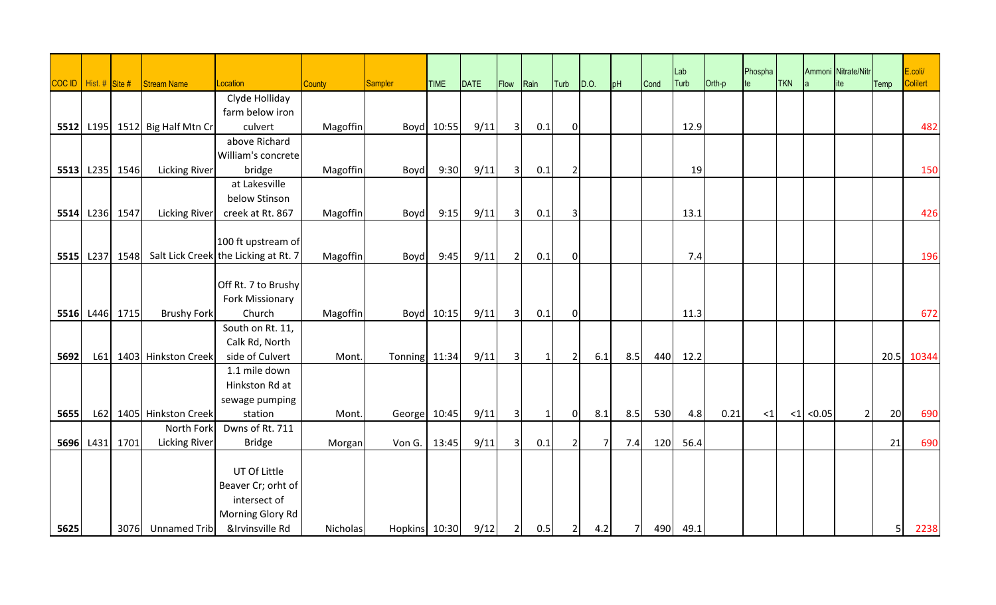|      |                         |                |                                |                                                     |               |               |            |      |                         |              |                |                |                |      | Lab  |        | Phospha  |            |        | Ammoni Nitrate/Nitr |                | E.coli/  |
|------|-------------------------|----------------|--------------------------------|-----------------------------------------------------|---------------|---------------|------------|------|-------------------------|--------------|----------------|----------------|----------------|------|------|--------|----------|------------|--------|---------------------|----------------|----------|
|      | COC ID   Hist. # Site # |                | Stream Name                    | Location                                            | <b>County</b> | Sampler       | TIME       | DATE | Flow                    | Rain         | Turb           | D.O.           | pH             | Cond | Turb | Orth-p | te       | <b>TKN</b> |        | ite                 | Temp           | Colilert |
|      |                         |                |                                | Clyde Holliday                                      |               |               |            |      |                         |              |                |                |                |      |      |        |          |            |        |                     |                |          |
|      |                         |                |                                | farm below iron                                     |               |               |            |      |                         |              |                |                |                |      |      |        |          |            |        |                     |                |          |
|      |                         |                | 5512 L195 1512 Big Half Mtn Cr | culvert                                             | Magoffin      |               | Boyd 10:55 | 9/11 | $\overline{3}$          | 0.1          | $\overline{0}$ |                |                |      | 12.9 |        |          |            |        |                     |                | 482      |
|      |                         |                |                                | above Richard                                       |               |               |            |      |                         |              |                |                |                |      |      |        |          |            |        |                     |                |          |
|      |                         |                |                                | William's concrete                                  |               |               |            |      |                         |              |                |                |                |      |      |        |          |            |        |                     |                |          |
|      |                         | 5513 L235 1546 | <b>Licking River</b>           | bridge                                              | Magoffin      | Boyd          | 9:30       | 9/11 | $\overline{3}$          | 0.1          | $\overline{2}$ |                |                |      | 19   |        |          |            |        |                     |                | 150      |
|      |                         |                |                                | at Lakesville                                       |               |               |            |      |                         |              |                |                |                |      |      |        |          |            |        |                     |                |          |
|      |                         |                |                                | below Stinson                                       |               |               |            |      |                         |              |                |                |                |      |      |        |          |            |        |                     |                |          |
|      |                         | 5514 L236 1547 | <b>Licking River</b>           | creek at Rt. 867                                    | Magoffin      | Boyd          | 9:15       | 9/11 | $\overline{3}$          | 0.1          | 3              |                |                |      | 13.1 |        |          |            |        |                     |                | 426      |
|      |                         |                |                                |                                                     |               |               |            |      |                         |              |                |                |                |      |      |        |          |            |        |                     |                |          |
|      |                         |                |                                | 100 ft upstream of                                  |               |               |            |      |                         |              |                |                |                |      |      |        |          |            |        |                     |                |          |
|      |                         |                |                                | 5515 L237 1548 Salt Lick Creek the Licking at Rt. 7 | Magoffin      | Boyd          | 9:45       | 9/11 | $\overline{2}$          | 0.1          | $\overline{0}$ |                |                |      | 7.4  |        |          |            |        |                     |                | 196      |
|      |                         |                |                                | Off Rt. 7 to Brushy                                 |               |               |            |      |                         |              |                |                |                |      |      |        |          |            |        |                     |                |          |
|      |                         |                |                                | Fork Missionary                                     |               |               |            |      |                         |              |                |                |                |      |      |        |          |            |        |                     |                |          |
|      |                         | 5516 L446 1715 | <b>Brushy Fork</b>             | Church                                              | Magoffin      |               | Boyd 10:15 | 9/11 | $\overline{\mathbf{3}}$ | 0.1          | $\overline{0}$ |                |                |      | 11.3 |        |          |            |        |                     |                | 672      |
|      |                         |                |                                | South on Rt. 11,                                    |               |               |            |      |                         |              |                |                |                |      |      |        |          |            |        |                     |                |          |
|      |                         |                |                                | Calk Rd, North                                      |               |               |            |      |                         |              |                |                |                |      |      |        |          |            |        |                     |                |          |
| 5692 | L61                     |                | 1403 Hinkston Creek            | side of Culvert                                     | Mont.         | Tonning 11:34 |            | 9/11 | $\overline{3}$          | $\mathbf{1}$ | $\overline{2}$ | 6.1            | 8.5            | 440  | 12.2 |        |          |            |        |                     | 20.5           | 10344    |
|      |                         |                |                                | 1.1 mile down                                       |               |               |            |      |                         |              |                |                |                |      |      |        |          |            |        |                     |                |          |
|      |                         |                |                                | Hinkston Rd at                                      |               |               |            |      |                         |              |                |                |                |      |      |        |          |            |        |                     |                |          |
|      |                         |                |                                | sewage pumping                                      |               |               |            |      |                         |              |                |                |                |      |      |        |          |            |        |                     |                |          |
| 5655 | L62                     |                | 1405 Hinkston Creek            | station                                             | Mont.         | George 10:45  |            | 9/11 | $\overline{3}$          | $\mathbf{1}$ | 0              | 8.1            | 8.5            | 530  | 4.8  | 0.21   | $\leq$ 1 | $\leq$ 1   | < 0.05 | $\overline{2}$      | 20             | 690      |
|      |                         |                | North Fork                     | Dwns of Rt. 711                                     |               |               |            |      |                         |              |                |                |                |      |      |        |          |            |        |                     |                |          |
|      | 5696 L431 1701          |                | <b>Licking River</b>           | <b>Bridge</b>                                       | Morgan        | Von G.        | 13:45      | 9/11 | $\overline{3}$          | 0.1          | $\overline{2}$ | 7 <sup>1</sup> | 7.4            | 120  | 56.4 |        |          |            |        |                     | 21             | 690      |
|      |                         |                |                                |                                                     |               |               |            |      |                         |              |                |                |                |      |      |        |          |            |        |                     |                |          |
|      |                         |                |                                | UT Of Little                                        |               |               |            |      |                         |              |                |                |                |      |      |        |          |            |        |                     |                |          |
|      |                         |                |                                | Beaver Cr; orht of                                  |               |               |            |      |                         |              |                |                |                |      |      |        |          |            |        |                     |                |          |
|      |                         |                |                                | intersect of                                        |               |               |            |      |                         |              |                |                |                |      |      |        |          |            |        |                     |                |          |
|      |                         |                |                                | Morning Glory Rd                                    |               |               |            |      |                         |              |                |                |                |      |      |        |          |            |        |                     |                |          |
| 5625 |                         |                | 3076 Unnamed Trib              | &Irvinsville Rd                                     | Nicholas      | Hopkins 10:30 |            | 9/12 | $\overline{2}$          | 0.5          | $\overline{2}$ | 4.2            | 7 <sup>1</sup> | 490  | 49.1 |        |          |            |        |                     | 5 <sup>1</sup> | 2238     |